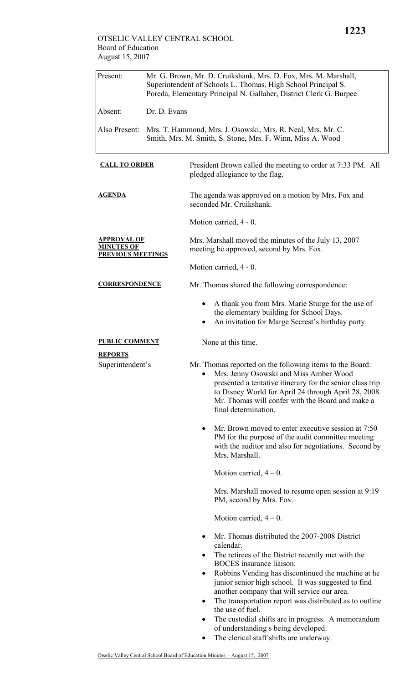| Present:                                                            | Mr. G. Brown, Mr. D. Cruikshank, Mrs. D. Fox, Mrs. M. Marshall,<br>Superintendent of Schools L. Thomas, High School Principal S.<br>Poreda, Elementary Principal N. Gallaher, District Clerk G. Burpee |                                                                                                                                                                                                                                                                                                     |  |  |  |
|---------------------------------------------------------------------|--------------------------------------------------------------------------------------------------------------------------------------------------------------------------------------------------------|-----------------------------------------------------------------------------------------------------------------------------------------------------------------------------------------------------------------------------------------------------------------------------------------------------|--|--|--|
| Absent:                                                             | Dr. D. Evans                                                                                                                                                                                           |                                                                                                                                                                                                                                                                                                     |  |  |  |
| Also Present:                                                       | Mrs. T. Hammond, Mrs. J. Osowski, Mrs. R. Neal, Mrs. Mr. C.<br>Smith, Mrs. M. Smith, S. Stone, Mrs. F. Winn, Miss A. Wood                                                                              |                                                                                                                                                                                                                                                                                                     |  |  |  |
| <b>CALL TO ORDER</b>                                                |                                                                                                                                                                                                        | President Brown called the meeting to order at 7:33 PM. All<br>pledged allegiance to the flag.                                                                                                                                                                                                      |  |  |  |
| <b>AGENDA</b>                                                       |                                                                                                                                                                                                        | The agenda was approved on a motion by Mrs. Fox and<br>seconded Mr. Cruikshank.                                                                                                                                                                                                                     |  |  |  |
|                                                                     |                                                                                                                                                                                                        | Motion carried, 4 - 0.                                                                                                                                                                                                                                                                              |  |  |  |
| <b>APPROVAL OF</b><br><b>MINUTES OF</b><br><b>PREVIOUS MEETINGS</b> |                                                                                                                                                                                                        | Mrs. Marshall moved the minutes of the July 13, 2007<br>meeting be approved, second by Mrs. Fox.                                                                                                                                                                                                    |  |  |  |
|                                                                     |                                                                                                                                                                                                        | Motion carried, 4 - 0.                                                                                                                                                                                                                                                                              |  |  |  |
| <b>CORRESPONDENCE</b>                                               |                                                                                                                                                                                                        | Mr. Thomas shared the following correspondence:                                                                                                                                                                                                                                                     |  |  |  |
|                                                                     |                                                                                                                                                                                                        | A thank you from Mrs. Marie Sturge for the use of<br>the elementary building for School Days.<br>An invitation for Marge Secrest's birthday party.                                                                                                                                                  |  |  |  |
| <b>PUBLIC COMMENT</b>                                               |                                                                                                                                                                                                        | None at this time.                                                                                                                                                                                                                                                                                  |  |  |  |
| <b>REPORTS</b><br>Superintendent's                                  |                                                                                                                                                                                                        | Mr. Thomas reported on the following items to the Board:<br>Mrs. Jenny Osowski and Miss Amber Wood<br>presented a tentative itinerary for the senior class trip<br>to Disney World for April 24 through April 28, 2008.<br>Mr. Thomas will confer with the Board and make a<br>final determination. |  |  |  |
|                                                                     |                                                                                                                                                                                                        | Mr. Brown moved to enter executive session at 7:50<br>٠<br>PM for the purpose of the audit committee meeting<br>with the auditor and also for negotiations. Second by<br>Mrs. Marshall.                                                                                                             |  |  |  |
|                                                                     |                                                                                                                                                                                                        | Motion carried, $4 - 0$ .                                                                                                                                                                                                                                                                           |  |  |  |
|                                                                     |                                                                                                                                                                                                        | Mrs. Marshall moved to resume open session at 9:19<br>PM, second by Mrs. Fox.                                                                                                                                                                                                                       |  |  |  |
|                                                                     |                                                                                                                                                                                                        | Motion carried, $4 - 0$ .                                                                                                                                                                                                                                                                           |  |  |  |
|                                                                     |                                                                                                                                                                                                        | Mr. Thomas distributed the 2007-2008 District<br>$\bullet$<br>calendar.                                                                                                                                                                                                                             |  |  |  |
|                                                                     |                                                                                                                                                                                                        | The retirees of the District recently met with the<br>$\bullet$<br>BOCES insurance liaison.                                                                                                                                                                                                         |  |  |  |
|                                                                     |                                                                                                                                                                                                        | Robbins Vending has discontinued the machine at he<br>$\bullet$<br>junior senior high school. It was suggested to find<br>another company that will service our area.                                                                                                                               |  |  |  |
|                                                                     |                                                                                                                                                                                                        | The transportation report was distributed as to outline<br>the use of fuel.                                                                                                                                                                                                                         |  |  |  |
|                                                                     |                                                                                                                                                                                                        | The custodial shifts are in progress. A memorandum<br>٠                                                                                                                                                                                                                                             |  |  |  |
|                                                                     |                                                                                                                                                                                                        | of understanding s being developed.<br>The clerical staff shifts are underway.                                                                                                                                                                                                                      |  |  |  |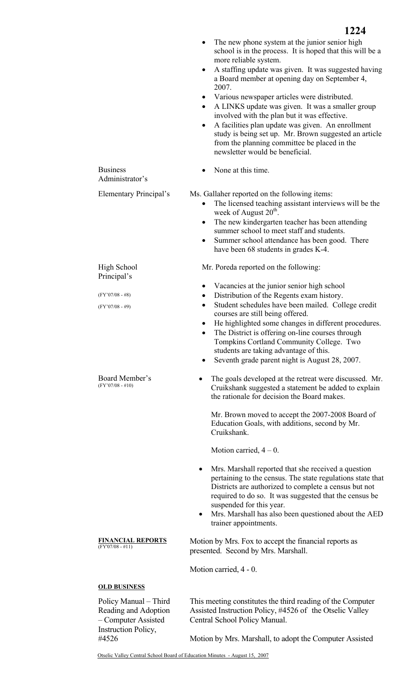|                                                                                                    | 1224                                                                                                                                                                                                                                                                                                                                                                 |  |  |  |  |
|----------------------------------------------------------------------------------------------------|----------------------------------------------------------------------------------------------------------------------------------------------------------------------------------------------------------------------------------------------------------------------------------------------------------------------------------------------------------------------|--|--|--|--|
|                                                                                                    | The new phone system at the junior senior high<br>school is in the process. It is hoped that this will be a<br>more reliable system.<br>A staffing update was given. It was suggested having<br>٠                                                                                                                                                                    |  |  |  |  |
|                                                                                                    | a Board member at opening day on September 4,<br>2007.                                                                                                                                                                                                                                                                                                               |  |  |  |  |
|                                                                                                    | Various newspaper articles were distributed.<br>٠<br>A LINKS update was given. It was a smaller group<br>$\bullet$<br>involved with the plan but it was effective.                                                                                                                                                                                                   |  |  |  |  |
|                                                                                                    | A facilities plan update was given. An enrollment<br>$\bullet$<br>study is being set up. Mr. Brown suggested an article<br>from the planning committee be placed in the<br>newsletter would be beneficial.                                                                                                                                                           |  |  |  |  |
| <b>Business</b><br>Administrator's                                                                 | None at this time.                                                                                                                                                                                                                                                                                                                                                   |  |  |  |  |
| Elementary Principal's                                                                             | Ms. Gallaher reported on the following items:<br>The licensed teaching assistant interviews will be the<br>$\bullet$<br>week of August 20 <sup>th</sup> .<br>The new kindergarten teacher has been attending<br>٠<br>summer school to meet staff and students.<br>Summer school attendance has been good. There<br>$\bullet$<br>have been 68 students in grades K-4. |  |  |  |  |
| High School<br>Principal's                                                                         | Mr. Poreda reported on the following:                                                                                                                                                                                                                                                                                                                                |  |  |  |  |
|                                                                                                    | Vacancies at the junior senior high school<br>٠                                                                                                                                                                                                                                                                                                                      |  |  |  |  |
| $(FY'07/08 - #8)$<br>$(FY'07/08 - #9)$                                                             | Distribution of the Regents exam history.<br>$\bullet$<br>Student schedules have been mailed. College credit<br>$\bullet$                                                                                                                                                                                                                                            |  |  |  |  |
|                                                                                                    | courses are still being offered.                                                                                                                                                                                                                                                                                                                                     |  |  |  |  |
|                                                                                                    | He highlighted some changes in different procedures.<br>The District is offering on-line courses through                                                                                                                                                                                                                                                             |  |  |  |  |
|                                                                                                    | Tompkins Cortland Community College. Two<br>students are taking advantage of this.                                                                                                                                                                                                                                                                                   |  |  |  |  |
|                                                                                                    | Seventh grade parent night is August 28, 2007.                                                                                                                                                                                                                                                                                                                       |  |  |  |  |
| Board Member's<br>$(FY'07/08 - #10)$                                                               | The goals developed at the retreat were discussed. Mr.<br>Cruikshank suggested a statement be added to explain<br>the rationale for decision the Board makes.                                                                                                                                                                                                        |  |  |  |  |
|                                                                                                    | Mr. Brown moved to accept the 2007-2008 Board of<br>Education Goals, with additions, second by Mr.<br>Cruikshank.                                                                                                                                                                                                                                                    |  |  |  |  |
|                                                                                                    | Motion carried, $4 - 0$ .                                                                                                                                                                                                                                                                                                                                            |  |  |  |  |
|                                                                                                    | Mrs. Marshall reported that she received a question<br>$\bullet$<br>pertaining to the census. The state regulations state that<br>Districts are authorized to complete a census but not<br>required to do so. It was suggested that the census be<br>suspended for this year.<br>Mrs. Marshall has also been questioned about the AED<br>٠                           |  |  |  |  |
|                                                                                                    | trainer appointments.                                                                                                                                                                                                                                                                                                                                                |  |  |  |  |
| <u>FINANCIAL REPORTS</u><br>$(FY'07/08 - #11)$                                                     | Motion by Mrs. Fox to accept the financial reports as<br>presented. Second by Mrs. Marshall.                                                                                                                                                                                                                                                                         |  |  |  |  |
|                                                                                                    | Motion carried, 4 - 0.                                                                                                                                                                                                                                                                                                                                               |  |  |  |  |
| <b>OLD BUSINESS</b>                                                                                |                                                                                                                                                                                                                                                                                                                                                                      |  |  |  |  |
| Policy Manual – Third<br>Reading and Adoption<br>- Computer Assisted<br><b>Instruction Policy,</b> | This meeting constitutes the third reading of the Computer<br>Assisted Instruction Policy, #4526 of the Otselic Valley<br>Central School Policy Manual.                                                                                                                                                                                                              |  |  |  |  |
| #4526                                                                                              | Motion by Mrs. Marshall, to adopt the Computer Assisted                                                                                                                                                                                                                                                                                                              |  |  |  |  |
| Otselic Valley Central School Board of Education Minutes - August 15, 2007                         |                                                                                                                                                                                                                                                                                                                                                                      |  |  |  |  |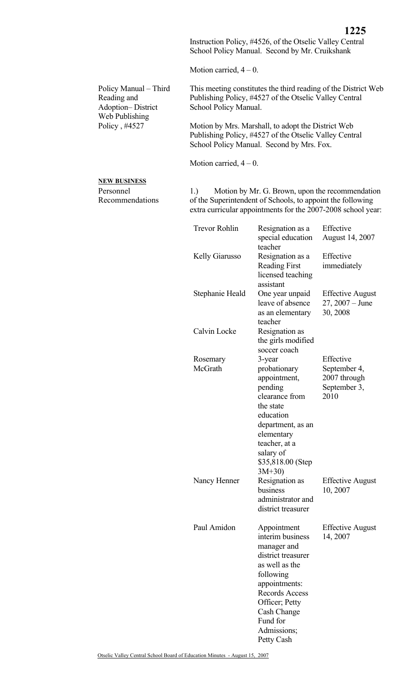Instruction Policy, #4526, of the Otselic Valley Central School Policy Manual. Second by Mr. Cruikshank

Motion carried,  $4 - 0$ .

| Policy Manual – Third | This meeting constitutes the third reading of the District Web |
|-----------------------|----------------------------------------------------------------|
| Reading and           | Publishing Policy, #4527 of the Otselic Valley Central         |
| Adoption-District     | School Policy Manual.                                          |
| Web Publishing        |                                                                |
| Policy, #4527         | Motion by Mrs. Marshall, to adopt the District Web             |

Publishing Policy, #4527 of the Otselic Valley Central School Policy Manual. Second by Mrs. Fox.

Motion carried,  $4 - 0$ .

## **NEW BUSINESS**

Personnel Recommendations 1.) Motion by Mr. G. Brown, upon the recommendation of the Superintendent of Schools, to appoint the following extra curricular appointments for the 2007-2008 school year:

|                     | <b>Trevor Rohlin</b> | Resignation as a<br>special education<br>teacher                                                                                                                                                                               | Effective<br>August 14, 2007                                      |
|---------------------|----------------------|--------------------------------------------------------------------------------------------------------------------------------------------------------------------------------------------------------------------------------|-------------------------------------------------------------------|
|                     | Kelly Giarusso       | Resignation as a<br><b>Reading First</b><br>licensed teaching<br>assistant                                                                                                                                                     | Effective<br>immediately                                          |
|                     | Stephanie Heald      | One year unpaid<br>leave of absence<br>as an elementary<br>teacher                                                                                                                                                             | <b>Effective August</b><br>$27, 2007 - June$<br>30, 2008          |
|                     | Calvin Locke         | Resignation as<br>the girls modified<br>soccer coach                                                                                                                                                                           |                                                                   |
| Rosemary<br>McGrath |                      | 3-year<br>probationary<br>appointment,<br>pending<br>clearance from<br>the state<br>education<br>department, as an<br>elementary<br>teacher, at a<br>salary of<br>\$35,818.00 (Step<br>$3M+30$                                 | Effective<br>September 4,<br>2007 through<br>September 3,<br>2010 |
|                     | Nancy Henner         | Resignation as<br>business<br>administrator and<br>district treasurer                                                                                                                                                          | <b>Effective August</b><br>10, 2007                               |
|                     | Paul Amidon          | Appointment<br>interim business<br>manager and<br>district treasurer<br>as well as the<br>following<br>appointments:<br><b>Records Access</b><br>Officer; Petty<br><b>Cash Change</b><br>Fund for<br>Admissions;<br>Petty Cash | <b>Effective August</b><br>14, 2007                               |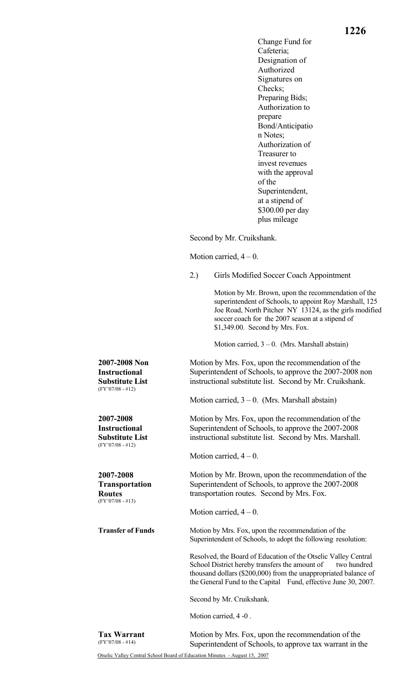Change Fund for Cafeteria; Designation of Authorized Signatures on Checks; Preparing Bids; Authorization to prepare Bond/Anticipatio n Notes; Authorization of Treasurer to invest revenues with the approval of the Superintendent, at a stipend of \$300.00 per day plus mileage

Second by Mr. Cruikshank.

Motion carried,  $4 - 0$ .

2.) Girls Modified Soccer Coach Appointment

 Motion by Mr. Brown, upon the recommendation of the superintendent of Schools, to appoint Roy Marshall, 125 Joe Road, North Pitcher NY 13124, as the girls modified soccer coach for the 2007 season at a stipend of \$1,349.00. Second by Mrs. Fox.

Motion carried,  $3 - 0$ . (Mrs. Marshall abstain)

Motion by Mrs. Fox, upon the recommendation of the Superintendent of Schools, to approve the 2007-2008 non instructional substitute list. Second by Mr. Cruikshank.

Motion carried,  $3 - 0$ . (Mrs. Marshall abstain)

Motion by Mrs. Fox, upon the recommendation of the Superintendent of Schools, to approve the 2007-2008 instructional substitute list. Second by Mrs. Marshall.

Motion carried,  $4 - 0$ .

 Motion by Mr. Brown, upon the recommendation of the Superintendent of Schools, to approve the 2007-2008 transportation routes. Second by Mrs. Fox.

Motion carried,  $4 - 0$ .

**Transfer of Funds** Motion by Mrs. Fox, upon the recommendation of the Superintendent of Schools, to adopt the following resolution:

> Resolved, the Board of Education of the Otselic Valley Central School District hereby transfers the amount of two hundred thousand dollars (\$200,000) from the unappropriated balance of the General Fund to the Capital Fund, effective June 30, 2007.

Second by Mr. Cruikshank.

Motion carried, 4 -0 .

**Tax Warrant**  (FY'07/08 - #14)

**2007-2008 Non Instructional Substitute List**  (FY'07/08 - #12)

**2007-2008 Instructional Substitute List**  (FY'07/08 - #12)

**2007-2008 Transportation** 

**Routes**  (FY'07/08 - #13)

> Motion by Mrs. Fox, upon the recommendation of the Superintendent of Schools, to approve tax warrant in the

Otselic Valley Central School Board of Education Minutes - August 15, 2007